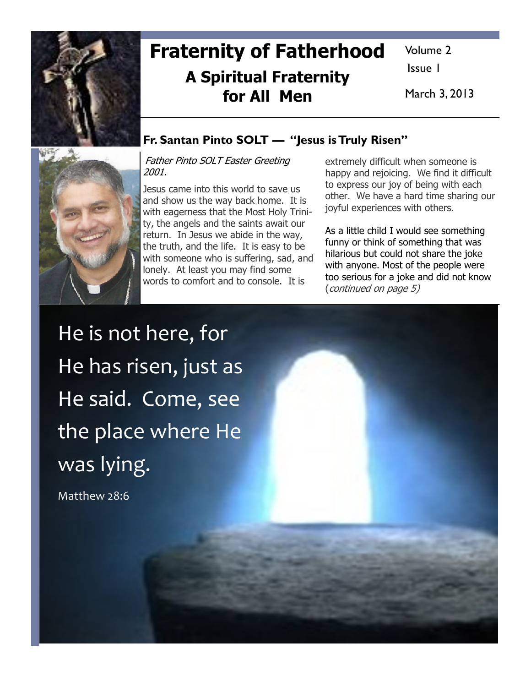

## Fraternity of Fatherhood A Spiritual Fraternity for All Men

Volume 2

Issue 1

March 3, 2013

### Fr. Santan Pinto SOLT — "Jesus is Truly Risen"

Father Pinto SOLT Easter Greeting 2001.

Jesus came into this world to save us and show us the way back home. It is with eagerness that the Most Holy Trinity, the angels and the saints await our return. In Jesus we abide in the way, the truth, and the life. It is easy to be with someone who is suffering, sad, and lonely. At least you may find some words to comfort and to console. It is

extremely difficult when someone is happy and rejoicing. We find it difficult to express our joy of being with each other. We have a hard time sharing our joyful experiences with others.

As a little child I would see something funny or think of something that was hilarious but could not share the joke with anyone. Most of the people were too serious for a joke and did not know (continued on page 5)

He is not here, for He has risen, just as He said. Come, see the place where He was lying.

Matthew 28:6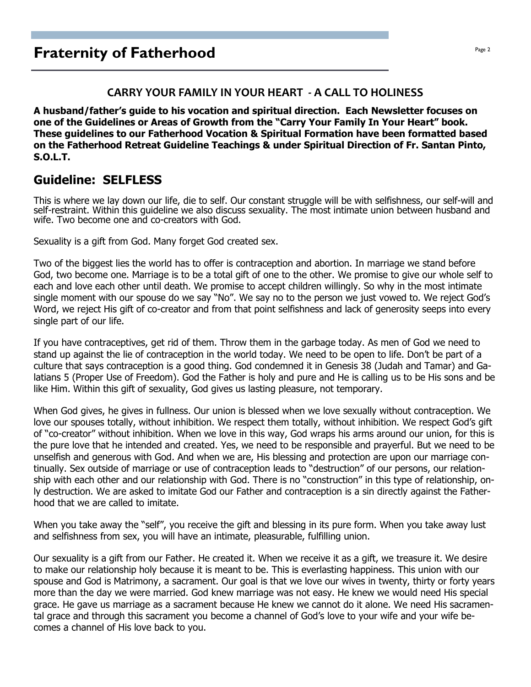#### CARRY YOUR FAMILY IN YOUR HEART - A CALL TO HOLINESS

A husband/father's guide to his vocation and spiritual direction. Each Newsletter focuses on one of the Guidelines or Areas of Growth from the "Carry Your Family In Your Heart" book. These guidelines to our Fatherhood Vocation & Spiritual Formation have been formatted based on the Fatherhood Retreat Guideline Teachings & under Spiritual Direction of Fr. Santan Pinto, S.O.L.T.

### Guideline: SELFLESS

This is where we lay down our life, die to self. Our constant struggle will be with selfishness, our self-will and self-restraint. Within this guideline we also discuss sexuality. The most intimate union between husband and wife. Two become one and co-creators with God.

Sexuality is a gift from God. Many forget God created sex.

Two of the biggest lies the world has to offer is contraception and abortion. In marriage we stand before God, two become one. Marriage is to be a total gift of one to the other. We promise to give our whole self to each and love each other until death. We promise to accept children willingly. So why in the most intimate single moment with our spouse do we say "No". We say no to the person we just vowed to. We reject God's Word, we reject His gift of co-creator and from that point selfishness and lack of generosity seeps into every single part of our life.

If you have contraceptives, get rid of them. Throw them in the garbage today. As men of God we need to stand up against the lie of contraception in the world today. We need to be open to life. Don't be part of a culture that says contraception is a good thing. God condemned it in Genesis 38 (Judah and Tamar) and Galatians 5 (Proper Use of Freedom). God the Father is holy and pure and He is calling us to be His sons and be like Him. Within this gift of sexuality, God gives us lasting pleasure, not temporary.

When God gives, he gives in fullness. Our union is blessed when we love sexually without contraception. We love our spouses totally, without inhibition. We respect them totally, without inhibition. We respect God's gift of "co-creator" without inhibition. When we love in this way, God wraps his arms around our union, for this is the pure love that he intended and created. Yes, we need to be responsible and prayerful. But we need to be unselfish and generous with God. And when we are, His blessing and protection are upon our marriage continually. Sex outside of marriage or use of contraception leads to "destruction" of our persons, our relationship with each other and our relationship with God. There is no "construction" in this type of relationship, only destruction. We are asked to imitate God our Father and contraception is a sin directly against the Fatherhood that we are called to imitate.

When you take away the "self", you receive the gift and blessing in its pure form. When you take away lust and selfishness from sex, you will have an intimate, pleasurable, fulfilling union.

Our sexuality is a gift from our Father. He created it. When we receive it as a gift, we treasure it. We desire to make our relationship holy because it is meant to be. This is everlasting happiness. This union with our spouse and God is Matrimony, a sacrament. Our goal is that we love our wives in twenty, thirty or forty years more than the day we were married. God knew marriage was not easy. He knew we would need His special grace. He gave us marriage as a sacrament because He knew we cannot do it alone. We need His sacramental grace and through this sacrament you become a channel of God's love to your wife and your wife becomes a channel of His love back to you.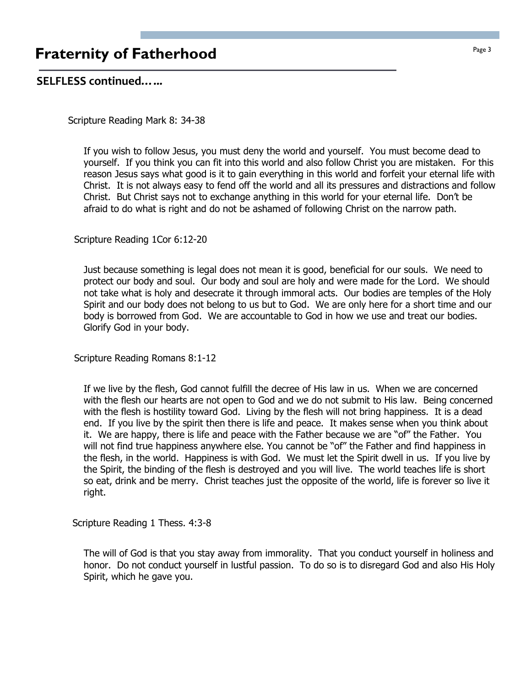## **Fraternity of Fatherhood Page 3**

### SELFLESS continued…...

Scripture Reading Mark 8: 34-38

If you wish to follow Jesus, you must deny the world and yourself. You must become dead to yourself. If you think you can fit into this world and also follow Christ you are mistaken. For this reason Jesus says what good is it to gain everything in this world and forfeit your eternal life with Christ. It is not always easy to fend off the world and all its pressures and distractions and follow Christ. But Christ says not to exchange anything in this world for your eternal life. Don't be afraid to do what is right and do not be ashamed of following Christ on the narrow path.

Scripture Reading 1Cor 6:12-20

Just because something is legal does not mean it is good, beneficial for our souls. We need to protect our body and soul. Our body and soul are holy and were made for the Lord. We should not take what is holy and desecrate it through immoral acts. Our bodies are temples of the Holy Spirit and our body does not belong to us but to God. We are only here for a short time and our body is borrowed from God. We are accountable to God in how we use and treat our bodies. Glorify God in your body.

Scripture Reading Romans 8:1-12

If we live by the flesh, God cannot fulfill the decree of His law in us. When we are concerned with the flesh our hearts are not open to God and we do not submit to His law. Being concerned with the flesh is hostility toward God. Living by the flesh will not bring happiness. It is a dead end. If you live by the spirit then there is life and peace. It makes sense when you think about it. We are happy, there is life and peace with the Father because we are "of" the Father. You will not find true happiness anywhere else. You cannot be "of" the Father and find happiness in the flesh, in the world. Happiness is with God. We must let the Spirit dwell in us. If you live by the Spirit, the binding of the flesh is destroyed and you will live. The world teaches life is short so eat, drink and be merry. Christ teaches just the opposite of the world, life is forever so live it right.

Scripture Reading 1 Thess. 4:3-8

The will of God is that you stay away from immorality. That you conduct yourself in holiness and honor. Do not conduct yourself in lustful passion. To do so is to disregard God and also His Holy Spirit, which he gave you.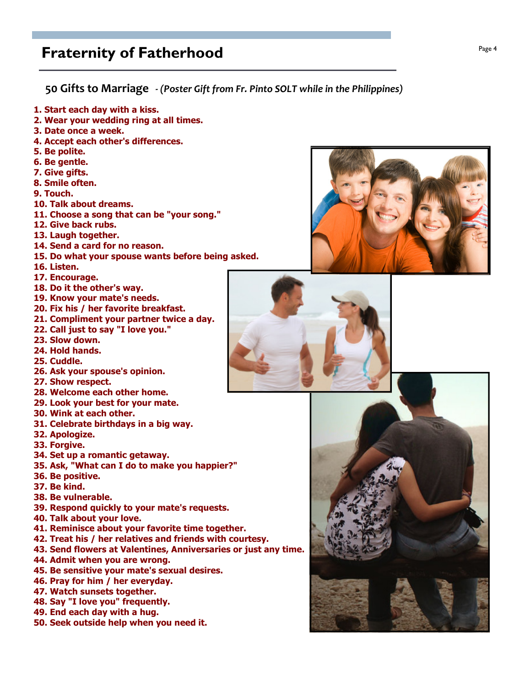### **Fraternity of Fatherhood Page 4**  $P_{\text{age 4}}$

50 Gifts to Marriage - (Poster Gift from Fr. Pinto SOLT while in the Philippines)

- 1. Start each day with a kiss.
- 2. Wear your wedding ring at all times.
- 3. Date once a week.
- 4. Accept each other's differences.
- 5. Be polite.
- 6. Be gentle.
- 7. Give gifts.
- 8. Smile often.
- 9. Touch.
- 10. Talk about dreams.
- 11. Choose a song that can be "your song."
- 12. Give back rubs.
- 13. Laugh together.
- 14. Send a card for no reason.
- 15. Do what your spouse wants before being asked.
- 16. Listen.
- 17. Encourage.
- 18. Do it the other's way.
- 19. Know your mate's needs.
- 20. Fix his / her favorite breakfast.
- 21. Compliment your partner twice a day.
- 22. Call just to say "I love you."
- 23. Slow down.
- 24. Hold hands.
- 25. Cuddle.
- 26. Ask your spouse's opinion.
- 27. Show respect.
- 28. Welcome each other home.
- 29. Look your best for your mate.
- 30. Wink at each other.
- 31. Celebrate birthdays in a big way.
- 32. Apologize.
- 33. Forgive.
- 34. Set up a romantic getaway.
- 35. Ask, "What can I do to make you happier?"
- 36. Be positive.
- 37. Be kind.
- 38. Be vulnerable.
- 39. Respond quickly to your mate's requests.
- 40. Talk about your love.
- 41. Reminisce about your favorite time together.
- 42. Treat his / her relatives and friends with courtesy.
- 43. Send flowers at Valentines, Anniversaries or just any time.
- 44. Admit when you are wrong.
- 45. Be sensitive your mate's sexual desires.
- 46. Pray for him / her everyday.
- 47. Watch sunsets together.
- 48. Say "I love you" frequently.
- 49. End each day with a hug.
- 50. Seek outside help when you need it.





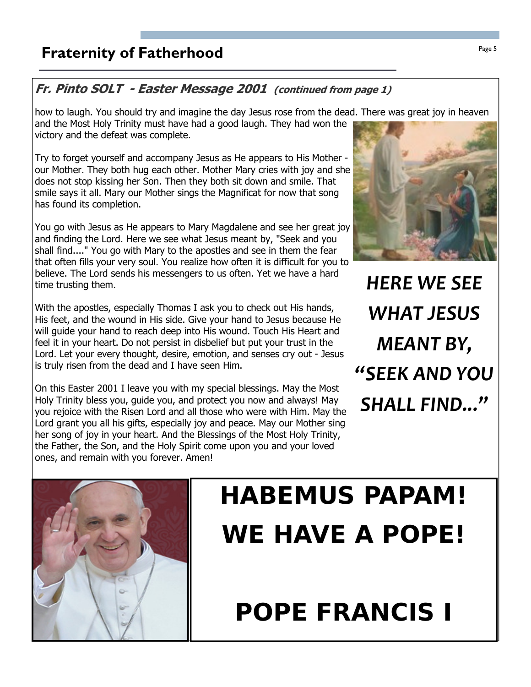## **Fraternity of Fatherhood Page 5**

### Fr. Pinto SOLT - Easter Message 2001 (continued from page 1)

how to laugh. You should try and imagine the day Jesus rose from the dead. There was great joy in heaven and the Most Holy Trinity must have had a good laugh. They had won the victory and the defeat was complete.

Try to forget yourself and accompany Jesus as He appears to His Mother our Mother. They both hug each other. Mother Mary cries with joy and she does not stop kissing her Son. Then they both sit down and smile. That smile says it all. Mary our Mother sings the Magnificat for now that song has found its completion.

You go with Jesus as He appears to Mary Magdalene and see her great joy and finding the Lord. Here we see what Jesus meant by, "Seek and you shall find...." You go with Mary to the apostles and see in them the fear that often fills your very soul. You realize how often it is difficult for you to believe. The Lord sends his messengers to us often. Yet we have a hard time trusting them.

With the apostles, especially Thomas I ask you to check out His hands, His feet, and the wound in His side. Give your hand to Jesus because He will guide your hand to reach deep into His wound. Touch His Heart and feel it in your heart. Do not persist in disbelief but put your trust in the Lord. Let your every thought, desire, emotion, and senses cry out - Jesus is truly risen from the dead and I have seen Him.

On this Easter 2001 I leave you with my special blessings. May the Most Holy Trinity bless you, guide you, and protect you now and always! May you rejoice with the Risen Lord and all those who were with Him. May the Lord grant you all his gifts, especially joy and peace. May our Mother sing her song of joy in your heart. And the Blessings of the Most Holy Trinity, the Father, the Son, and the Holy Spirit come upon you and your loved ones, and remain with you forever. Amen!



HERE WE SEE WHAT JESUS MEANT BY, "SEEK AND YOU SHALL FIND..."



# HABEMUS PAPAM! WE HAVE A POPE!

## POPE FRANCIS I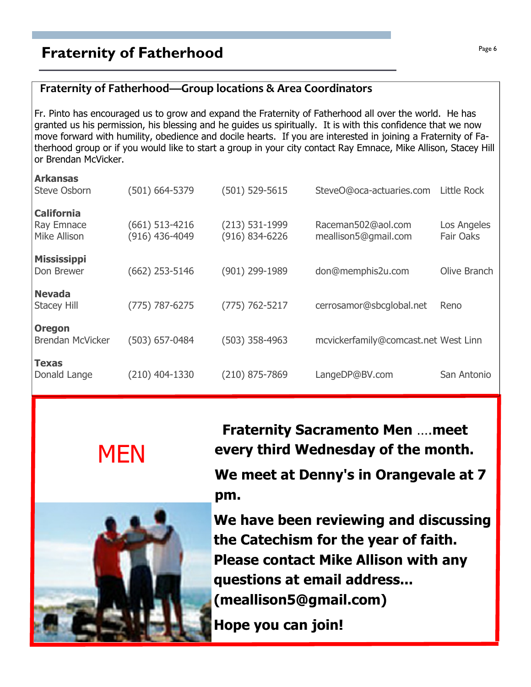## **Praternity of Fatherhood Page 6**  $\frac{Page6}{Page6}$

### Fraternity of Fatherhood—Group locations & Area Coordinators

Fr. Pinto has encouraged us to grow and expand the Fraternity of Fatherhood all over the world. He has granted us his permission, his blessing and he guides us spiritually. It is with this confidence that we now move forward with humility, obedience and docile hearts. If you are interested in joining a Fraternity of Fatherhood group or if you would like to start a group in your city contact Ray Emnace, Mike Allison, Stacey Hill or Brendan McVicker.

| <b>Arkansas</b><br><b>Steve Osborn</b>                 | (501) 664-5379                       | $(501) 529 - 5615$                       | SteveO@oca-actuaries.com                   | Little Rock              |
|--------------------------------------------------------|--------------------------------------|------------------------------------------|--------------------------------------------|--------------------------|
| <b>California</b><br><b>Ray Emnace</b><br>Mike Allison | $(661) 513 - 4216$<br>(916) 436-4049 | $(213) 531 - 1999$<br>$(916) 834 - 6226$ | Raceman502@aol.com<br>meallison5@gmail.com | Los Angeles<br>Fair Oaks |
| <b>Mississippi</b><br>Don Brewer                       | $(662)$ 253-5146                     | (901) 299-1989                           | don@memphis2u.com                          | Olive Branch             |
| <b>Nevada</b><br><b>Stacey Hill</b>                    | $(775) 787 - 6275$                   | $(775) 762 - 5217$                       | cerrosamor@sbcglobal.net                   | Reno                     |
| <b>Oregon</b><br><b>Brendan McVicker</b>               | (503) 657-0484                       | $(503)$ 358-4963                         | mcvickerfamily@comcast.net West Linn       |                          |
| Texas<br>Donald Lange                                  | $(210)$ 404-1330                     | (210) 875-7869                           | LangeDP@BV.com                             | San Antonio              |





 Fraternity Sacramento Men ….meet every third Wednesday of the month.

We meet at Denny's in Orangevale at 7 pm.

We have been reviewing and discussing the Catechism for the year of faith. Please contact Mike Allison with any questions at email address... (meallison5@gmail.com)

Hope you can join!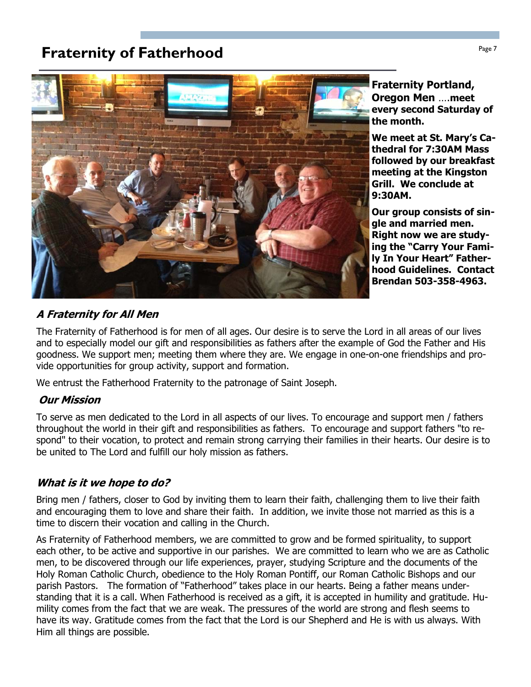## **Fraternity of Fatherhood Page 7** Fraternity of Fatherhood



Fraternity Portland, Oregon Men ….meet every second Saturday of the month.

We meet at St. Mary's Cathedral for 7:30AM Mass followed by our breakfast meeting at the Kingston Grill. We conclude at 9:30AM.

Our group consists of single and married men. Right now we are studying the "Carry Your Family In Your Heart" Fatherhood Guidelines. Contact Brendan 503-358-4963.

### A Fraternity for All Men

The Fraternity of Fatherhood is for men of all ages. Our desire is to serve the Lord in all areas of our lives and to especially model our gift and responsibilities as fathers after the example of God the Father and His goodness. We support men; meeting them where they are. We engage in one-on-one friendships and provide opportunities for group activity, support and formation.

We entrust the Fatherhood Fraternity to the patronage of Saint Joseph.

### Our Mission

To serve as men dedicated to the Lord in all aspects of our lives. To encourage and support men / fathers throughout the world in their gift and responsibilities as fathers. To encourage and support fathers "to respond" to their vocation, to protect and remain strong carrying their families in their hearts. Our desire is to be united to The Lord and fulfill our holy mission as fathers.

### What is it we hope to do?

Bring men / fathers, closer to God by inviting them to learn their faith, challenging them to live their faith and encouraging them to love and share their faith. In addition, we invite those not married as this is a time to discern their vocation and calling in the Church.

As Fraternity of Fatherhood members, we are committed to grow and be formed spirituality, to support each other, to be active and supportive in our parishes. We are committed to learn who we are as Catholic men, to be discovered through our life experiences, prayer, studying Scripture and the documents of the Holy Roman Catholic Church, obedience to the Holy Roman Pontiff, our Roman Catholic Bishops and our parish Pastors. The formation of "Fatherhood" takes place in our hearts. Being a father means understanding that it is a call. When Fatherhood is received as a gift, it is accepted in humility and gratitude. Humility comes from the fact that we are weak. The pressures of the world are strong and flesh seems to have its way. Gratitude comes from the fact that the Lord is our Shepherd and He is with us always. With Him all things are possible.